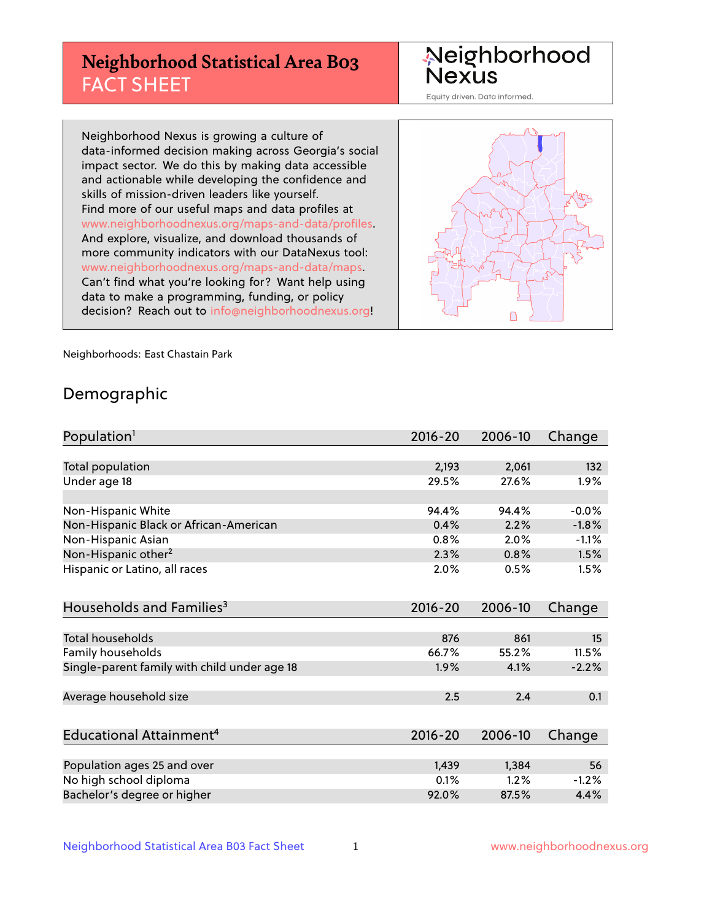## **Neighborhood Statistical Area B03** FACT SHEET

Neighborhood Nexus

Equity driven. Data informed.

Neighborhood Nexus is growing a culture of data-informed decision making across Georgia's social impact sector. We do this by making data accessible and actionable while developing the confidence and skills of mission-driven leaders like yourself. Find more of our useful maps and data profiles at www.neighborhoodnexus.org/maps-and-data/profiles. And explore, visualize, and download thousands of more community indicators with our DataNexus tool: www.neighborhoodnexus.org/maps-and-data/maps. Can't find what you're looking for? Want help using data to make a programming, funding, or policy decision? Reach out to [info@neighborhoodnexus.org!](mailto:info@neighborhoodnexus.org)



Neighborhoods: East Chastain Park

### Demographic

| Population <sup>1</sup>                      | $2016 - 20$ | 2006-10 | Change  |
|----------------------------------------------|-------------|---------|---------|
|                                              |             |         |         |
| Total population                             | 2,193       | 2,061   | 132     |
| Under age 18                                 | 29.5%       | 27.6%   | 1.9%    |
|                                              |             |         |         |
| Non-Hispanic White                           | 94.4%       | 94.4%   | $-0.0%$ |
| Non-Hispanic Black or African-American       | 0.4%        | 2.2%    | $-1.8%$ |
| Non-Hispanic Asian                           | 0.8%        | 2.0%    | $-1.1%$ |
| Non-Hispanic other <sup>2</sup>              | 2.3%        | 0.8%    | 1.5%    |
| Hispanic or Latino, all races                | 2.0%        | 0.5%    | 1.5%    |
|                                              |             |         |         |
| Households and Families <sup>3</sup>         | $2016 - 20$ | 2006-10 | Change  |
|                                              |             |         |         |
| Total households                             | 876         | 861     | 15      |
| Family households                            | 66.7%       | 55.2%   | 11.5%   |
| Single-parent family with child under age 18 | 1.9%        | 4.1%    | $-2.2%$ |
|                                              |             |         |         |
| Average household size                       | 2.5         | 2.4     | 0.1     |
|                                              |             |         |         |
| Educational Attainment <sup>4</sup>          | $2016 - 20$ | 2006-10 | Change  |
|                                              |             |         |         |
| Population ages 25 and over                  | 1,439       | 1,384   | 56      |
| No high school diploma                       | 0.1%        | 1.2%    | $-1.2%$ |
| Bachelor's degree or higher                  | 92.0%       | 87.5%   | 4.4%    |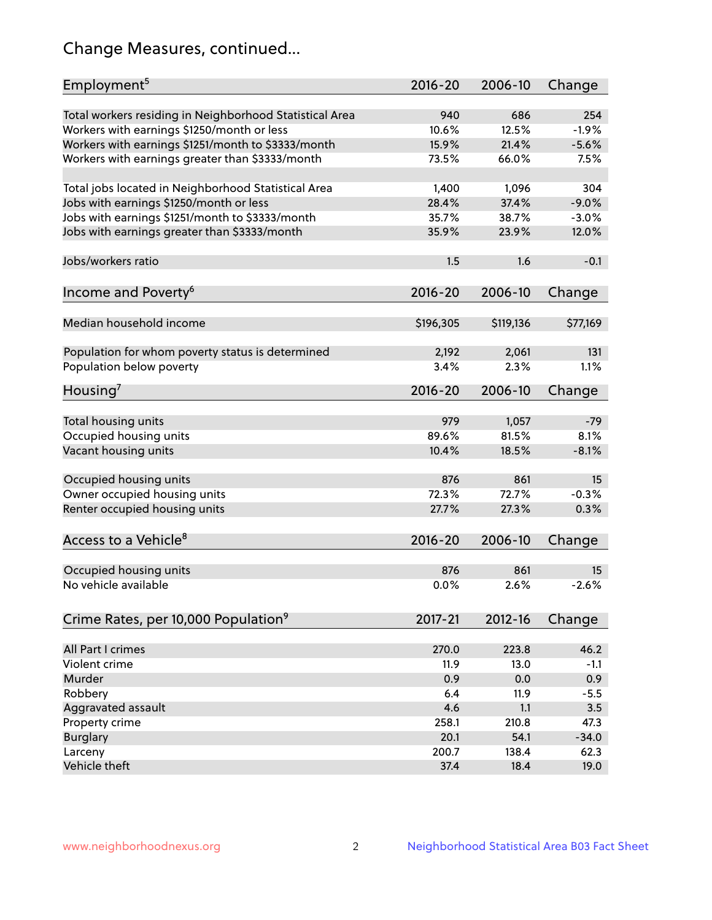## Change Measures, continued...

| Employment <sup>5</sup>                                 | $2016 - 20$ | 2006-10   | Change   |
|---------------------------------------------------------|-------------|-----------|----------|
| Total workers residing in Neighborhood Statistical Area | 940         | 686       | 254      |
| Workers with earnings \$1250/month or less              | 10.6%       | 12.5%     | $-1.9%$  |
| Workers with earnings \$1251/month to \$3333/month      | 15.9%       | 21.4%     | $-5.6%$  |
| Workers with earnings greater than \$3333/month         | 73.5%       | 66.0%     | 7.5%     |
|                                                         |             |           |          |
| Total jobs located in Neighborhood Statistical Area     | 1,400       | 1,096     | 304      |
| Jobs with earnings \$1250/month or less                 | 28.4%       | 37.4%     | $-9.0%$  |
| Jobs with earnings \$1251/month to \$3333/month         | 35.7%       | 38.7%     | $-3.0%$  |
| Jobs with earnings greater than \$3333/month            | 35.9%       | 23.9%     | 12.0%    |
|                                                         |             |           |          |
| Jobs/workers ratio                                      | 1.5         | 1.6       | $-0.1$   |
|                                                         |             |           |          |
| Income and Poverty <sup>6</sup>                         | $2016 - 20$ | 2006-10   | Change   |
|                                                         |             |           |          |
| Median household income                                 | \$196,305   | \$119,136 | \$77,169 |
|                                                         |             |           |          |
| Population for whom poverty status is determined        | 2,192       | 2,061     | 131      |
| Population below poverty                                | 3.4%        | 2.3%      | 1.1%     |
| Housing'                                                | $2016 - 20$ | 2006-10   | Change   |
|                                                         |             |           |          |
| Total housing units                                     | 979         | 1,057     | $-79$    |
| Occupied housing units                                  | 89.6%       | 81.5%     | 8.1%     |
| Vacant housing units                                    | 10.4%       | 18.5%     | $-8.1%$  |
|                                                         |             |           |          |
| Occupied housing units                                  | 876         | 861       | 15       |
| Owner occupied housing units                            | 72.3%       | 72.7%     | $-0.3%$  |
| Renter occupied housing units                           | 27.7%       | 27.3%     | 0.3%     |
|                                                         |             |           |          |
| Access to a Vehicle <sup>8</sup>                        | $2016 - 20$ | 2006-10   | Change   |
|                                                         |             |           |          |
| Occupied housing units                                  | 876         | 861       | 15       |
| No vehicle available                                    | 0.0%        | 2.6%      | $-2.6%$  |
|                                                         |             |           |          |
| Crime Rates, per 10,000 Population <sup>9</sup>         | 2017-21     | 2012-16   | Change   |
|                                                         |             |           |          |
| All Part I crimes                                       | 270.0       | 223.8     | 46.2     |
| Violent crime                                           | 11.9        | 13.0      | $-1.1$   |
| Murder                                                  | 0.9         | 0.0       | 0.9      |
| Robbery                                                 | 6.4         | 11.9      | $-5.5$   |
| Aggravated assault                                      | 4.6         | 1.1       | 3.5      |
| Property crime                                          | 258.1       | 210.8     | 47.3     |
| <b>Burglary</b>                                         | 20.1        | 54.1      | $-34.0$  |
| Larceny                                                 | 200.7       | 138.4     | 62.3     |
| Vehicle theft                                           | 37.4        | 18.4      | 19.0     |
|                                                         |             |           |          |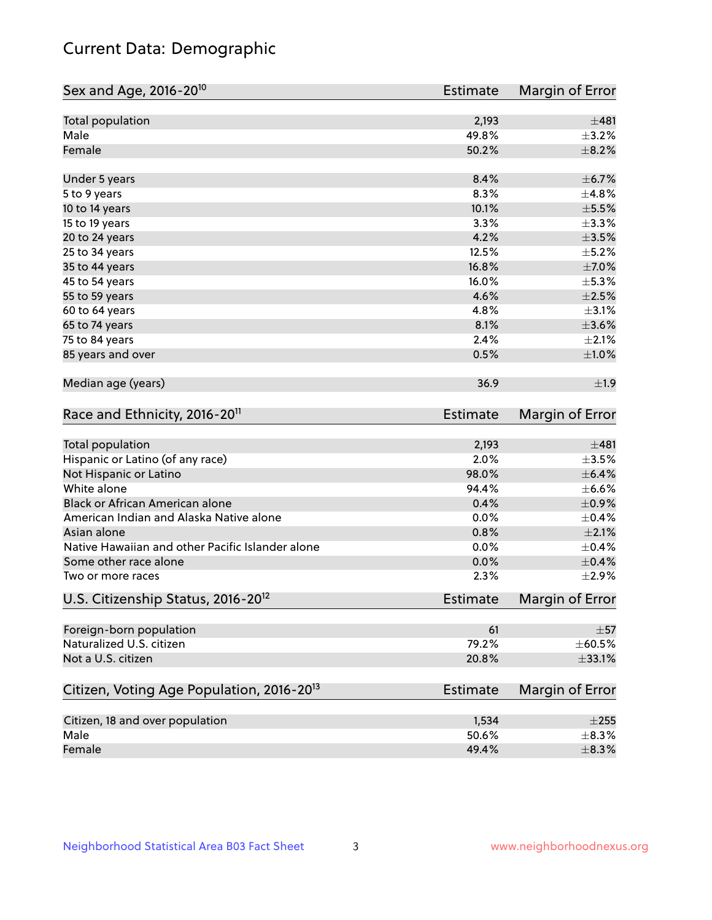## Current Data: Demographic

| Sex and Age, 2016-20 <sup>10</sup>                    | <b>Estimate</b> | Margin of Error |
|-------------------------------------------------------|-----------------|-----------------|
| Total population                                      | 2,193           | ±481            |
| Male                                                  | 49.8%           | $\pm$ 3.2%      |
| Female                                                | 50.2%           | $\pm$ 8.2%      |
| Under 5 years                                         | 8.4%            | ±6.7%           |
| 5 to 9 years                                          | 8.3%            | ±4.8%           |
| 10 to 14 years                                        | 10.1%           | $\pm$ 5.5%      |
| 15 to 19 years                                        | 3.3%            | ±3.3%           |
| 20 to 24 years                                        | 4.2%            | $\pm$ 3.5%      |
| 25 to 34 years                                        | 12.5%           | $\pm$ 5.2%      |
| 35 to 44 years                                        | 16.8%           | $\pm$ 7.0%      |
| 45 to 54 years                                        | 16.0%           | $\pm$ 5.3%      |
| 55 to 59 years                                        | 4.6%            | $\pm 2.5\%$     |
| 60 to 64 years                                        | 4.8%            | $\pm$ 3.1%      |
| 65 to 74 years                                        | 8.1%            | $\pm 3.6\%$     |
| 75 to 84 years                                        | 2.4%            | $\pm 2.1\%$     |
| 85 years and over                                     | 0.5%            | $\pm1.0\%$      |
| Median age (years)                                    | 36.9            | ±1.9            |
| Race and Ethnicity, 2016-20 <sup>11</sup>             | <b>Estimate</b> | Margin of Error |
| Total population                                      | 2,193           | ±481            |
| Hispanic or Latino (of any race)                      | 2.0%            | $\pm$ 3.5%      |
| Not Hispanic or Latino                                | 98.0%           | $\pm$ 6.4%      |
| White alone                                           | 94.4%           | $\pm$ 6.6%      |
| Black or African American alone                       | 0.4%            | $\pm$ 0.9%      |
| American Indian and Alaska Native alone               | 0.0%            | $\pm$ 0.4%      |
| Asian alone                                           | 0.8%            | $\pm 2.1\%$     |
| Native Hawaiian and other Pacific Islander alone      | 0.0%            | $\pm$ 0.4%      |
| Some other race alone                                 | 0.0%            | $\pm$ 0.4%      |
| Two or more races                                     | 2.3%            | ±2.9%           |
| U.S. Citizenship Status, 2016-20 <sup>12</sup>        | <b>Estimate</b> | Margin of Error |
| Foreign-born population                               | 61              | $\pm$ 57        |
| Naturalized U.S. citizen                              | 79.2%           | $\pm$ 60.5%     |
| Not a U.S. citizen                                    | 20.8%           | $\pm$ 33.1%     |
| Citizen, Voting Age Population, 2016-20 <sup>13</sup> | Estimate        | Margin of Error |
| Citizen, 18 and over population                       | 1,534           | $\pm 255$       |
| Male                                                  | 50.6%           | $\pm$ 8.3%      |
| Female                                                | 49.4%           | $\pm$ 8.3%      |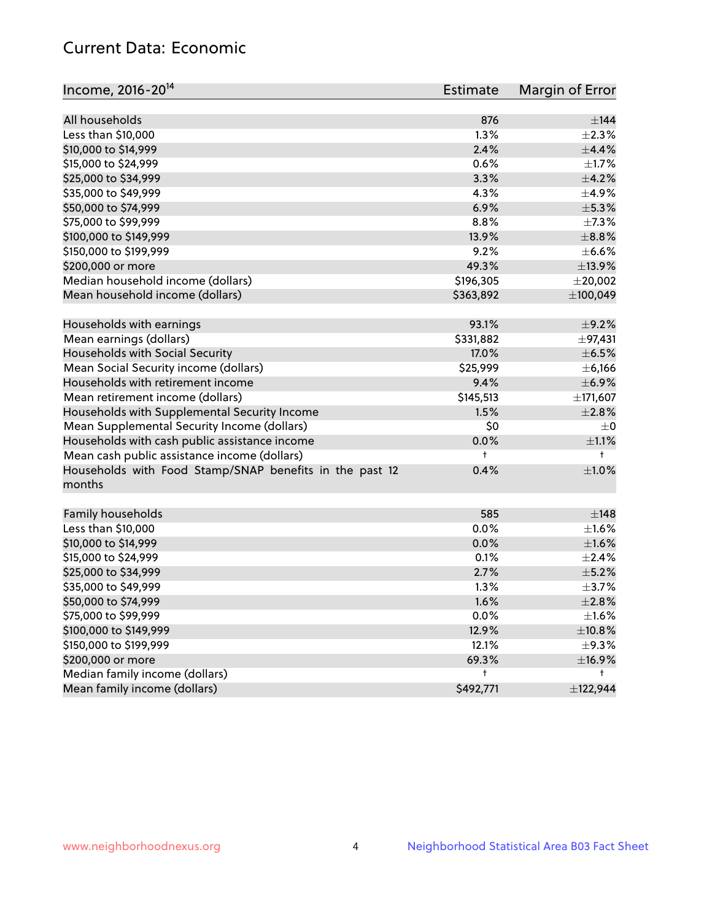## Current Data: Economic

| All households<br>876<br>$\pm$ 144<br>Less than \$10,000<br>1.3%<br>$\pm 2.3\%$<br>2.4%<br>\$10,000 to \$14,999<br>±4.4%<br>\$15,000 to \$24,999<br>0.6%<br>$\pm 1.7\%$<br>3.3%<br>$\pm$ 4.2%<br>\$25,000 to \$34,999<br>$\pm$ 4.9%<br>\$35,000 to \$49,999<br>4.3%<br>\$50,000 to \$74,999<br>6.9%<br>$\pm$ 5.3%<br>\$75,000 to \$99,999<br>8.8%<br>$\pm$ 7.3%<br>13.9%<br>$\pm$ 8.8%<br>\$100,000 to \$149,999<br>9.2%<br>$\pm$ 6.6%<br>\$150,000 to \$199,999<br>49.3%<br>\$200,000 or more<br>±13.9%<br>Median household income (dollars)<br>\$196,305<br>$±$ 20,002<br>Mean household income (dollars)<br>\$363,892<br>±100,049<br>Households with earnings<br>93.1%<br>$\pm$ 9.2% |
|-----------------------------------------------------------------------------------------------------------------------------------------------------------------------------------------------------------------------------------------------------------------------------------------------------------------------------------------------------------------------------------------------------------------------------------------------------------------------------------------------------------------------------------------------------------------------------------------------------------------------------------------------------------------------------------------|
|                                                                                                                                                                                                                                                                                                                                                                                                                                                                                                                                                                                                                                                                                         |
|                                                                                                                                                                                                                                                                                                                                                                                                                                                                                                                                                                                                                                                                                         |
|                                                                                                                                                                                                                                                                                                                                                                                                                                                                                                                                                                                                                                                                                         |
|                                                                                                                                                                                                                                                                                                                                                                                                                                                                                                                                                                                                                                                                                         |
|                                                                                                                                                                                                                                                                                                                                                                                                                                                                                                                                                                                                                                                                                         |
|                                                                                                                                                                                                                                                                                                                                                                                                                                                                                                                                                                                                                                                                                         |
|                                                                                                                                                                                                                                                                                                                                                                                                                                                                                                                                                                                                                                                                                         |
|                                                                                                                                                                                                                                                                                                                                                                                                                                                                                                                                                                                                                                                                                         |
|                                                                                                                                                                                                                                                                                                                                                                                                                                                                                                                                                                                                                                                                                         |
|                                                                                                                                                                                                                                                                                                                                                                                                                                                                                                                                                                                                                                                                                         |
|                                                                                                                                                                                                                                                                                                                                                                                                                                                                                                                                                                                                                                                                                         |
|                                                                                                                                                                                                                                                                                                                                                                                                                                                                                                                                                                                                                                                                                         |
|                                                                                                                                                                                                                                                                                                                                                                                                                                                                                                                                                                                                                                                                                         |
|                                                                                                                                                                                                                                                                                                                                                                                                                                                                                                                                                                                                                                                                                         |
|                                                                                                                                                                                                                                                                                                                                                                                                                                                                                                                                                                                                                                                                                         |
| \$331,882<br>Mean earnings (dollars)<br>±97,431                                                                                                                                                                                                                                                                                                                                                                                                                                                                                                                                                                                                                                         |
| Households with Social Security<br>$\pm$ 6.5%<br>17.0%                                                                                                                                                                                                                                                                                                                                                                                                                                                                                                                                                                                                                                  |
| Mean Social Security income (dollars)<br>\$25,999<br>$\pm$ 6,166                                                                                                                                                                                                                                                                                                                                                                                                                                                                                                                                                                                                                        |
| 9.4%<br>Households with retirement income<br>$\pm$ 6.9%                                                                                                                                                                                                                                                                                                                                                                                                                                                                                                                                                                                                                                 |
| Mean retirement income (dollars)<br>\$145,513<br>±171,607                                                                                                                                                                                                                                                                                                                                                                                                                                                                                                                                                                                                                               |
| Households with Supplemental Security Income<br>1.5%<br>$\pm 2.8\%$                                                                                                                                                                                                                                                                                                                                                                                                                                                                                                                                                                                                                     |
| Mean Supplemental Security Income (dollars)<br>\$0<br>$\pm$ 0                                                                                                                                                                                                                                                                                                                                                                                                                                                                                                                                                                                                                           |
| Households with cash public assistance income<br>0.0%<br>$\pm 1.1\%$                                                                                                                                                                                                                                                                                                                                                                                                                                                                                                                                                                                                                    |
| Mean cash public assistance income (dollars)<br>$^+$<br>t                                                                                                                                                                                                                                                                                                                                                                                                                                                                                                                                                                                                                               |
| Households with Food Stamp/SNAP benefits in the past 12<br>0.4%<br>$\pm1.0\%$<br>months                                                                                                                                                                                                                                                                                                                                                                                                                                                                                                                                                                                                 |
| Family households<br>585<br>±148                                                                                                                                                                                                                                                                                                                                                                                                                                                                                                                                                                                                                                                        |
| Less than \$10,000<br>0.0%<br>$\pm 1.6\%$                                                                                                                                                                                                                                                                                                                                                                                                                                                                                                                                                                                                                                               |
| ±1.6%<br>\$10,000 to \$14,999<br>0.0%                                                                                                                                                                                                                                                                                                                                                                                                                                                                                                                                                                                                                                                   |
| $\pm 2.4\%$<br>\$15,000 to \$24,999<br>0.1%                                                                                                                                                                                                                                                                                                                                                                                                                                                                                                                                                                                                                                             |
| $\pm$ 5.2%<br>\$25,000 to \$34,999<br>2.7%                                                                                                                                                                                                                                                                                                                                                                                                                                                                                                                                                                                                                                              |
| \$35,000 to \$49,999<br>1.3%<br>$\pm$ 3.7%                                                                                                                                                                                                                                                                                                                                                                                                                                                                                                                                                                                                                                              |
| \$50,000 to \$74,999<br>1.6%<br>$\pm 2.8\%$                                                                                                                                                                                                                                                                                                                                                                                                                                                                                                                                                                                                                                             |
| \$75,000 to \$99,999<br>0.0%<br>±1.6%                                                                                                                                                                                                                                                                                                                                                                                                                                                                                                                                                                                                                                                   |
| \$100,000 to \$149,999<br>12.9%<br>±10.8%                                                                                                                                                                                                                                                                                                                                                                                                                                                                                                                                                                                                                                               |
| \$150,000 to \$199,999<br>12.1%<br>$\pm$ 9.3%                                                                                                                                                                                                                                                                                                                                                                                                                                                                                                                                                                                                                                           |
| \$200,000 or more<br>69.3%<br>±16.9%                                                                                                                                                                                                                                                                                                                                                                                                                                                                                                                                                                                                                                                    |
| Median family income (dollars)<br>t<br>t                                                                                                                                                                                                                                                                                                                                                                                                                                                                                                                                                                                                                                                |
| Mean family income (dollars)<br>\$492,771<br>±122,944                                                                                                                                                                                                                                                                                                                                                                                                                                                                                                                                                                                                                                   |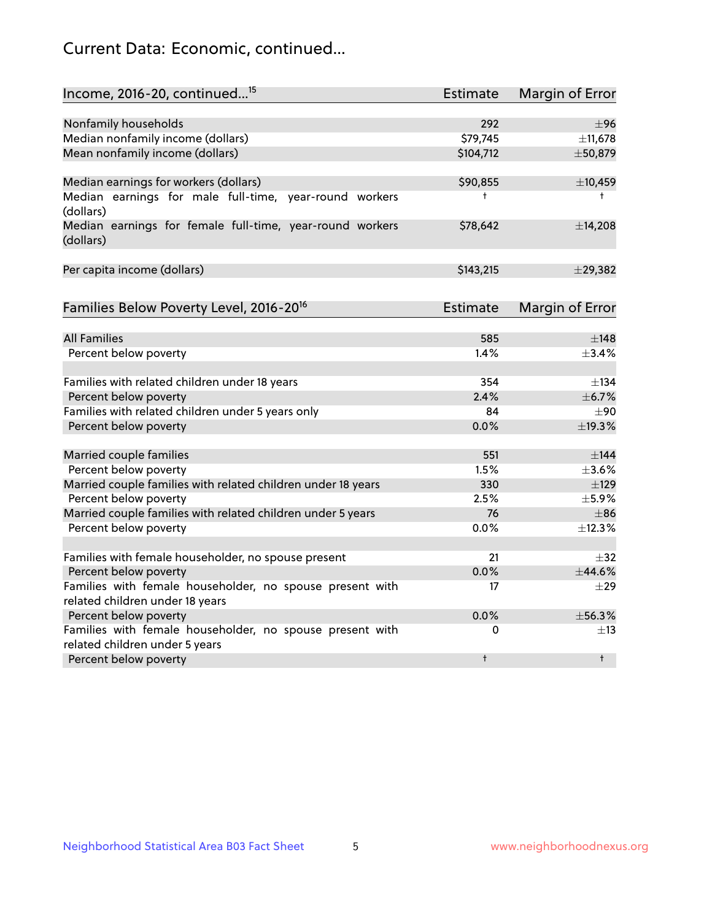## Current Data: Economic, continued...

| Income, 2016-20, continued <sup>15</sup>                              | <b>Estimate</b> | Margin of Error        |
|-----------------------------------------------------------------------|-----------------|------------------------|
|                                                                       |                 |                        |
| Nonfamily households<br>Median nonfamily income (dollars)             | 292<br>\$79,745 | ±96<br>±11,678         |
| Mean nonfamily income (dollars)                                       | \$104,712       | ±50,879                |
|                                                                       |                 |                        |
| Median earnings for workers (dollars)                                 | \$90,855        | ±10,459                |
| Median earnings for male full-time, year-round workers<br>(dollars)   | $\ddagger$      | $^+$                   |
| Median earnings for female full-time, year-round workers<br>(dollars) | \$78,642        | ±14,208                |
| Per capita income (dollars)                                           | \$143,215       | ±29,382                |
| Families Below Poverty Level, 2016-20 <sup>16</sup>                   | Estimate        | <b>Margin of Error</b> |
|                                                                       |                 |                        |
| <b>All Families</b>                                                   | 585             | $\pm$ 148              |
| Percent below poverty                                                 | 1.4%            | ±3.4%                  |
| Families with related children under 18 years                         | 354             | $\pm$ 134              |
| Percent below poverty                                                 | 2.4%            | ±6.7%                  |
| Families with related children under 5 years only                     | 84              | $\pm 90$               |
| Percent below poverty                                                 | 0.0%            | ±19.3%                 |
| Married couple families                                               | 551             | $\pm$ 144              |
| Percent below poverty                                                 | 1.5%            | $\pm$ 3.6%             |
| Married couple families with related children under 18 years          | 330             | $\pm$ 129              |
| Percent below poverty                                                 | 2.5%            | $\pm$ 5.9%             |
| Married couple families with related children under 5 years           | 76              | $\pm$ 86               |
| Percent below poverty                                                 | 0.0%            | ±12.3%                 |
| Families with female householder, no spouse present                   | 21              | $\pm$ 32               |
| Percent below poverty                                                 | 0.0%            | ±44.6%                 |
| Families with female householder, no spouse present with              | 17              | $\pm$ 29               |
| related children under 18 years                                       |                 |                        |
| Percent below poverty                                                 | 0.0%            | ±56.3%                 |
| Families with female householder, no spouse present with              | 0               | $\pm$ 13               |
| related children under 5 years                                        |                 |                        |
| Percent below poverty                                                 | $\ddagger$      | $^{\dagger}$           |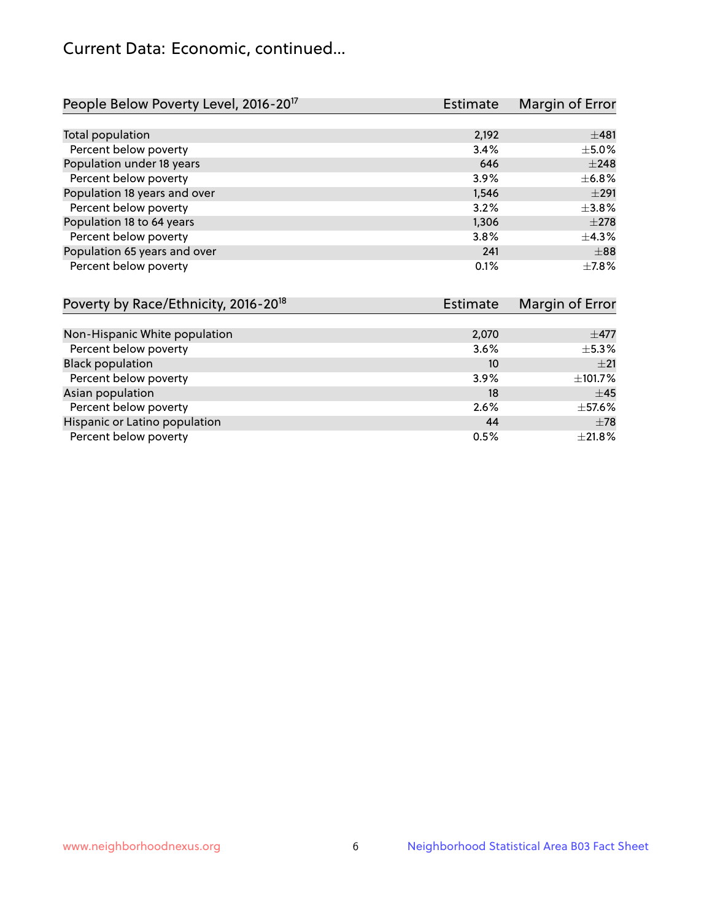## Current Data: Economic, continued...

| People Below Poverty Level, 2016-20 <sup>17</sup> | <b>Estimate</b> | Margin of Error |
|---------------------------------------------------|-----------------|-----------------|
|                                                   |                 |                 |
| Total population                                  | 2,192           | ±481            |
| Percent below poverty                             | 3.4%            | $\pm$ 5.0%      |
| Population under 18 years                         | 646             | $\pm 248$       |
| Percent below poverty                             | 3.9%            | $\pm$ 6.8%      |
| Population 18 years and over                      | 1,546           | $\pm 291$       |
| Percent below poverty                             | 3.2%            | $\pm$ 3.8%      |
| Population 18 to 64 years                         | 1,306           | $+278$          |
| Percent below poverty                             | 3.8%            | $+4.3%$         |
| Population 65 years and over                      | 241             | $\pm$ 88        |
| Percent below poverty                             | 0.1%            | $+7.8%$         |

| Poverty by Race/Ethnicity, 2016-20 <sup>18</sup> | <b>Estimate</b> | Margin of Error |
|--------------------------------------------------|-----------------|-----------------|
|                                                  |                 |                 |
| Non-Hispanic White population                    | 2,070           | $\pm$ 477       |
| Percent below poverty                            | 3.6%            | $\pm$ 5.3%      |
| <b>Black population</b>                          | 10              | $+21$           |
| Percent below poverty                            | 3.9%            | ±101.7%         |
| Asian population                                 | 18              | $\pm$ 45        |
| Percent below poverty                            | 2.6%            | $\pm$ 57.6%     |
| Hispanic or Latino population                    | 44              | $\pm 78$        |
| Percent below poverty                            | 0.5%            | $\pm 21.8\%$    |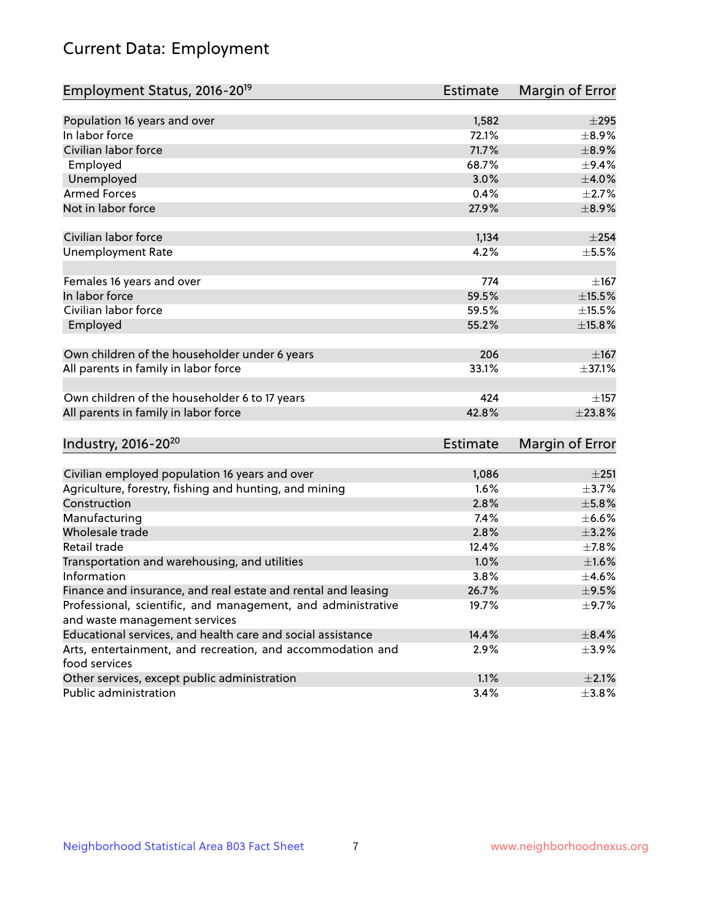# Current Data: Employment

| Employment Status, 2016-20 <sup>19</sup>                                    | <b>Estimate</b> | Margin of Error |
|-----------------------------------------------------------------------------|-----------------|-----------------|
|                                                                             |                 |                 |
| Population 16 years and over                                                | 1,582           | $\pm 295$       |
| In labor force                                                              | 72.1%           | $\pm$ 8.9%      |
| Civilian labor force                                                        | 71.7%           | $\pm$ 8.9%      |
| Employed                                                                    | 68.7%           | $\pm$ 9.4%      |
| Unemployed                                                                  | 3.0%            | $\pm 4.0\%$     |
| <b>Armed Forces</b>                                                         | 0.4%            | $\pm 2.7\%$     |
| Not in labor force                                                          | 27.9%           | $\pm$ 8.9%      |
| Civilian labor force                                                        | 1,134           | $\pm 254$       |
| <b>Unemployment Rate</b>                                                    | 4.2%            | $\pm$ 5.5%      |
| Females 16 years and over                                                   | 774             | $\pm$ 167       |
| In labor force                                                              | 59.5%           | $\pm$ 15.5%     |
| Civilian labor force                                                        | 59.5%           | $\pm$ 15.5%     |
| Employed                                                                    | 55.2%           | $\pm$ 15.8%     |
|                                                                             |                 |                 |
| Own children of the householder under 6 years                               | 206             | $\pm$ 167       |
| All parents in family in labor force                                        | 33.1%           | ±37.1%          |
| Own children of the householder 6 to 17 years                               | 424             | ±157            |
| All parents in family in labor force                                        | 42.8%           | ±23.8%          |
| Industry, 2016-20 <sup>20</sup>                                             | <b>Estimate</b> | Margin of Error |
|                                                                             |                 |                 |
| Civilian employed population 16 years and over                              | 1,086           | $\pm 251$       |
| Agriculture, forestry, fishing and hunting, and mining                      | 1.6%            | $\pm$ 3.7%      |
| Construction                                                                | 2.8%            | $\pm$ 5.8%      |
| Manufacturing                                                               | 7.4%            | $\pm$ 6.6%      |
| Wholesale trade                                                             | 2.8%            | $\pm$ 3.2%      |
| Retail trade                                                                | 12.4%           | $\pm$ 7.8%      |
| Transportation and warehousing, and utilities                               | 1.0%            | $\pm 1.6\%$     |
| Information                                                                 | 3.8%            | $\pm$ 4.6%      |
| Finance and insurance, and real estate and rental and leasing               | 26.7%           | $\pm$ 9.5%      |
| Professional, scientific, and management, and administrative                | 19.7%           | $\pm$ 9.7%      |
| and waste management services                                               |                 |                 |
| Educational services, and health care and social assistance                 | 14.4%           | $\pm$ 8.4%      |
| Arts, entertainment, and recreation, and accommodation and<br>food services | 2.9%            | $\pm$ 3.9%      |
| Other services, except public administration                                | 1.1%            | $\pm 2.1\%$     |
| Public administration                                                       | 3.4%            | $\pm$ 3.8%      |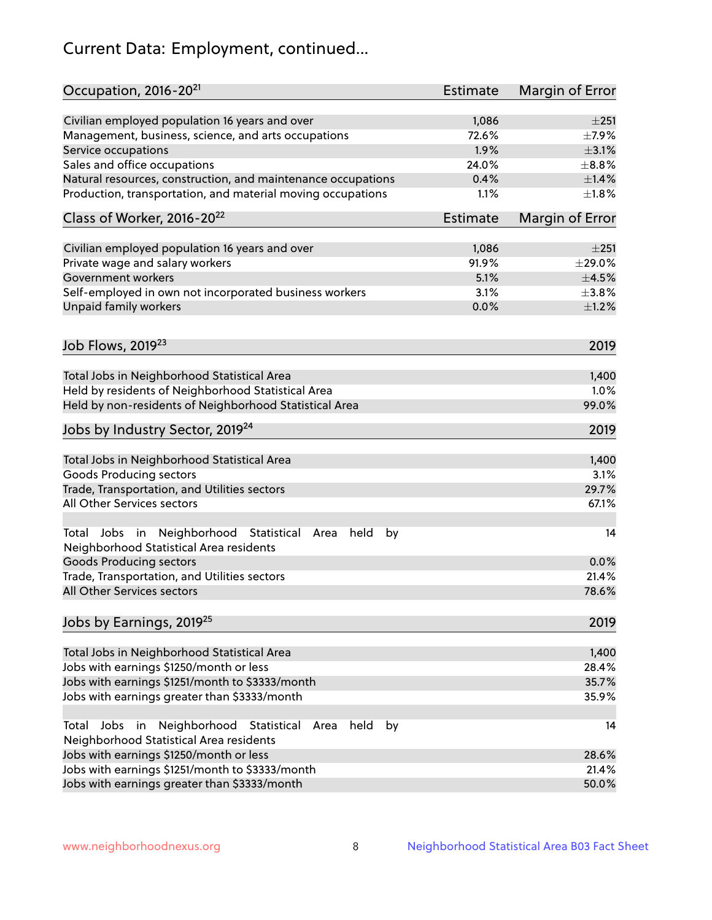# Current Data: Employment, continued...

| Civilian employed population 16 years and over<br>1,086<br>±251<br>72.6%<br>Management, business, science, and arts occupations<br>$\pm$ 7.9%<br>1.9%<br>$\pm$ 3.1%<br>Service occupations<br>Sales and office occupations<br>24.0%<br>$\pm$ 8.8%<br>0.4%<br>$\pm$ 1.4%<br>Natural resources, construction, and maintenance occupations<br>Production, transportation, and material moving occupations<br>1.1%<br>$\pm1.8\%$<br>Class of Worker, 2016-20 <sup>22</sup><br>Estimate<br>Margin of Error<br>Civilian employed population 16 years and over<br>1,086<br>±251<br>Private wage and salary workers<br>91.9%<br>$\pm 29.0\%$<br>5.1%<br>$\pm$ 4.5%<br>Government workers<br>Self-employed in own not incorporated business workers<br>3.1%<br>$\pm$ 3.8%<br>Unpaid family workers<br>0.0%<br>$\pm$ 1.2%<br>Job Flows, 2019 <sup>23</sup><br>2019<br>Total Jobs in Neighborhood Statistical Area<br>1,400<br>Held by residents of Neighborhood Statistical Area<br>1.0%<br>Held by non-residents of Neighborhood Statistical Area<br>99.0%<br>Jobs by Industry Sector, 2019 <sup>24</sup><br>2019<br>Total Jobs in Neighborhood Statistical Area<br>1,400<br><b>Goods Producing sectors</b><br>3.1%<br>Trade, Transportation, and Utilities sectors<br>29.7%<br>All Other Services sectors<br>67.1%<br>Total Jobs in Neighborhood Statistical<br>held<br>by<br>14<br>Area<br>Neighborhood Statistical Area residents<br><b>Goods Producing sectors</b><br>0.0%<br>Trade, Transportation, and Utilities sectors<br>21.4%<br>All Other Services sectors<br>78.6%<br>Jobs by Earnings, 2019 <sup>25</sup><br>2019<br>Total Jobs in Neighborhood Statistical Area<br>1,400<br>28.4%<br>Jobs with earnings \$1250/month or less<br>Jobs with earnings \$1251/month to \$3333/month<br>35.7%<br>Jobs with earnings greater than \$3333/month<br>35.9%<br>Neighborhood Statistical<br>Jobs<br>in<br>Area<br>held<br>by<br>Total<br>14<br>Neighborhood Statistical Area residents<br>Jobs with earnings \$1250/month or less<br>28.6%<br>Jobs with earnings \$1251/month to \$3333/month<br>21.4%<br>Jobs with earnings greater than \$3333/month<br>50.0% | Occupation, 2016-20 <sup>21</sup> | Estimate | Margin of Error |
|-----------------------------------------------------------------------------------------------------------------------------------------------------------------------------------------------------------------------------------------------------------------------------------------------------------------------------------------------------------------------------------------------------------------------------------------------------------------------------------------------------------------------------------------------------------------------------------------------------------------------------------------------------------------------------------------------------------------------------------------------------------------------------------------------------------------------------------------------------------------------------------------------------------------------------------------------------------------------------------------------------------------------------------------------------------------------------------------------------------------------------------------------------------------------------------------------------------------------------------------------------------------------------------------------------------------------------------------------------------------------------------------------------------------------------------------------------------------------------------------------------------------------------------------------------------------------------------------------------------------------------------------------------------------------------------------------------------------------------------------------------------------------------------------------------------------------------------------------------------------------------------------------------------------------------------------------------------------------------------------------------------------------------------------------------------------------------------------------------------------------------------------------------------|-----------------------------------|----------|-----------------|
|                                                                                                                                                                                                                                                                                                                                                                                                                                                                                                                                                                                                                                                                                                                                                                                                                                                                                                                                                                                                                                                                                                                                                                                                                                                                                                                                                                                                                                                                                                                                                                                                                                                                                                                                                                                                                                                                                                                                                                                                                                                                                                                                                           |                                   |          |                 |
|                                                                                                                                                                                                                                                                                                                                                                                                                                                                                                                                                                                                                                                                                                                                                                                                                                                                                                                                                                                                                                                                                                                                                                                                                                                                                                                                                                                                                                                                                                                                                                                                                                                                                                                                                                                                                                                                                                                                                                                                                                                                                                                                                           |                                   |          |                 |
|                                                                                                                                                                                                                                                                                                                                                                                                                                                                                                                                                                                                                                                                                                                                                                                                                                                                                                                                                                                                                                                                                                                                                                                                                                                                                                                                                                                                                                                                                                                                                                                                                                                                                                                                                                                                                                                                                                                                                                                                                                                                                                                                                           |                                   |          |                 |
|                                                                                                                                                                                                                                                                                                                                                                                                                                                                                                                                                                                                                                                                                                                                                                                                                                                                                                                                                                                                                                                                                                                                                                                                                                                                                                                                                                                                                                                                                                                                                                                                                                                                                                                                                                                                                                                                                                                                                                                                                                                                                                                                                           |                                   |          |                 |
|                                                                                                                                                                                                                                                                                                                                                                                                                                                                                                                                                                                                                                                                                                                                                                                                                                                                                                                                                                                                                                                                                                                                                                                                                                                                                                                                                                                                                                                                                                                                                                                                                                                                                                                                                                                                                                                                                                                                                                                                                                                                                                                                                           |                                   |          |                 |
|                                                                                                                                                                                                                                                                                                                                                                                                                                                                                                                                                                                                                                                                                                                                                                                                                                                                                                                                                                                                                                                                                                                                                                                                                                                                                                                                                                                                                                                                                                                                                                                                                                                                                                                                                                                                                                                                                                                                                                                                                                                                                                                                                           |                                   |          |                 |
|                                                                                                                                                                                                                                                                                                                                                                                                                                                                                                                                                                                                                                                                                                                                                                                                                                                                                                                                                                                                                                                                                                                                                                                                                                                                                                                                                                                                                                                                                                                                                                                                                                                                                                                                                                                                                                                                                                                                                                                                                                                                                                                                                           |                                   |          |                 |
|                                                                                                                                                                                                                                                                                                                                                                                                                                                                                                                                                                                                                                                                                                                                                                                                                                                                                                                                                                                                                                                                                                                                                                                                                                                                                                                                                                                                                                                                                                                                                                                                                                                                                                                                                                                                                                                                                                                                                                                                                                                                                                                                                           |                                   |          |                 |
|                                                                                                                                                                                                                                                                                                                                                                                                                                                                                                                                                                                                                                                                                                                                                                                                                                                                                                                                                                                                                                                                                                                                                                                                                                                                                                                                                                                                                                                                                                                                                                                                                                                                                                                                                                                                                                                                                                                                                                                                                                                                                                                                                           |                                   |          |                 |
|                                                                                                                                                                                                                                                                                                                                                                                                                                                                                                                                                                                                                                                                                                                                                                                                                                                                                                                                                                                                                                                                                                                                                                                                                                                                                                                                                                                                                                                                                                                                                                                                                                                                                                                                                                                                                                                                                                                                                                                                                                                                                                                                                           |                                   |          |                 |
|                                                                                                                                                                                                                                                                                                                                                                                                                                                                                                                                                                                                                                                                                                                                                                                                                                                                                                                                                                                                                                                                                                                                                                                                                                                                                                                                                                                                                                                                                                                                                                                                                                                                                                                                                                                                                                                                                                                                                                                                                                                                                                                                                           |                                   |          |                 |
|                                                                                                                                                                                                                                                                                                                                                                                                                                                                                                                                                                                                                                                                                                                                                                                                                                                                                                                                                                                                                                                                                                                                                                                                                                                                                                                                                                                                                                                                                                                                                                                                                                                                                                                                                                                                                                                                                                                                                                                                                                                                                                                                                           |                                   |          |                 |
|                                                                                                                                                                                                                                                                                                                                                                                                                                                                                                                                                                                                                                                                                                                                                                                                                                                                                                                                                                                                                                                                                                                                                                                                                                                                                                                                                                                                                                                                                                                                                                                                                                                                                                                                                                                                                                                                                                                                                                                                                                                                                                                                                           |                                   |          |                 |
|                                                                                                                                                                                                                                                                                                                                                                                                                                                                                                                                                                                                                                                                                                                                                                                                                                                                                                                                                                                                                                                                                                                                                                                                                                                                                                                                                                                                                                                                                                                                                                                                                                                                                                                                                                                                                                                                                                                                                                                                                                                                                                                                                           |                                   |          |                 |
|                                                                                                                                                                                                                                                                                                                                                                                                                                                                                                                                                                                                                                                                                                                                                                                                                                                                                                                                                                                                                                                                                                                                                                                                                                                                                                                                                                                                                                                                                                                                                                                                                                                                                                                                                                                                                                                                                                                                                                                                                                                                                                                                                           |                                   |          |                 |
|                                                                                                                                                                                                                                                                                                                                                                                                                                                                                                                                                                                                                                                                                                                                                                                                                                                                                                                                                                                                                                                                                                                                                                                                                                                                                                                                                                                                                                                                                                                                                                                                                                                                                                                                                                                                                                                                                                                                                                                                                                                                                                                                                           |                                   |          |                 |
|                                                                                                                                                                                                                                                                                                                                                                                                                                                                                                                                                                                                                                                                                                                                                                                                                                                                                                                                                                                                                                                                                                                                                                                                                                                                                                                                                                                                                                                                                                                                                                                                                                                                                                                                                                                                                                                                                                                                                                                                                                                                                                                                                           |                                   |          |                 |
|                                                                                                                                                                                                                                                                                                                                                                                                                                                                                                                                                                                                                                                                                                                                                                                                                                                                                                                                                                                                                                                                                                                                                                                                                                                                                                                                                                                                                                                                                                                                                                                                                                                                                                                                                                                                                                                                                                                                                                                                                                                                                                                                                           |                                   |          |                 |
|                                                                                                                                                                                                                                                                                                                                                                                                                                                                                                                                                                                                                                                                                                                                                                                                                                                                                                                                                                                                                                                                                                                                                                                                                                                                                                                                                                                                                                                                                                                                                                                                                                                                                                                                                                                                                                                                                                                                                                                                                                                                                                                                                           |                                   |          |                 |
|                                                                                                                                                                                                                                                                                                                                                                                                                                                                                                                                                                                                                                                                                                                                                                                                                                                                                                                                                                                                                                                                                                                                                                                                                                                                                                                                                                                                                                                                                                                                                                                                                                                                                                                                                                                                                                                                                                                                                                                                                                                                                                                                                           |                                   |          |                 |
|                                                                                                                                                                                                                                                                                                                                                                                                                                                                                                                                                                                                                                                                                                                                                                                                                                                                                                                                                                                                                                                                                                                                                                                                                                                                                                                                                                                                                                                                                                                                                                                                                                                                                                                                                                                                                                                                                                                                                                                                                                                                                                                                                           |                                   |          |                 |
|                                                                                                                                                                                                                                                                                                                                                                                                                                                                                                                                                                                                                                                                                                                                                                                                                                                                                                                                                                                                                                                                                                                                                                                                                                                                                                                                                                                                                                                                                                                                                                                                                                                                                                                                                                                                                                                                                                                                                                                                                                                                                                                                                           |                                   |          |                 |
|                                                                                                                                                                                                                                                                                                                                                                                                                                                                                                                                                                                                                                                                                                                                                                                                                                                                                                                                                                                                                                                                                                                                                                                                                                                                                                                                                                                                                                                                                                                                                                                                                                                                                                                                                                                                                                                                                                                                                                                                                                                                                                                                                           |                                   |          |                 |
|                                                                                                                                                                                                                                                                                                                                                                                                                                                                                                                                                                                                                                                                                                                                                                                                                                                                                                                                                                                                                                                                                                                                                                                                                                                                                                                                                                                                                                                                                                                                                                                                                                                                                                                                                                                                                                                                                                                                                                                                                                                                                                                                                           |                                   |          |                 |
|                                                                                                                                                                                                                                                                                                                                                                                                                                                                                                                                                                                                                                                                                                                                                                                                                                                                                                                                                                                                                                                                                                                                                                                                                                                                                                                                                                                                                                                                                                                                                                                                                                                                                                                                                                                                                                                                                                                                                                                                                                                                                                                                                           |                                   |          |                 |
|                                                                                                                                                                                                                                                                                                                                                                                                                                                                                                                                                                                                                                                                                                                                                                                                                                                                                                                                                                                                                                                                                                                                                                                                                                                                                                                                                                                                                                                                                                                                                                                                                                                                                                                                                                                                                                                                                                                                                                                                                                                                                                                                                           |                                   |          |                 |
|                                                                                                                                                                                                                                                                                                                                                                                                                                                                                                                                                                                                                                                                                                                                                                                                                                                                                                                                                                                                                                                                                                                                                                                                                                                                                                                                                                                                                                                                                                                                                                                                                                                                                                                                                                                                                                                                                                                                                                                                                                                                                                                                                           |                                   |          |                 |
|                                                                                                                                                                                                                                                                                                                                                                                                                                                                                                                                                                                                                                                                                                                                                                                                                                                                                                                                                                                                                                                                                                                                                                                                                                                                                                                                                                                                                                                                                                                                                                                                                                                                                                                                                                                                                                                                                                                                                                                                                                                                                                                                                           |                                   |          |                 |
|                                                                                                                                                                                                                                                                                                                                                                                                                                                                                                                                                                                                                                                                                                                                                                                                                                                                                                                                                                                                                                                                                                                                                                                                                                                                                                                                                                                                                                                                                                                                                                                                                                                                                                                                                                                                                                                                                                                                                                                                                                                                                                                                                           |                                   |          |                 |
|                                                                                                                                                                                                                                                                                                                                                                                                                                                                                                                                                                                                                                                                                                                                                                                                                                                                                                                                                                                                                                                                                                                                                                                                                                                                                                                                                                                                                                                                                                                                                                                                                                                                                                                                                                                                                                                                                                                                                                                                                                                                                                                                                           |                                   |          |                 |
|                                                                                                                                                                                                                                                                                                                                                                                                                                                                                                                                                                                                                                                                                                                                                                                                                                                                                                                                                                                                                                                                                                                                                                                                                                                                                                                                                                                                                                                                                                                                                                                                                                                                                                                                                                                                                                                                                                                                                                                                                                                                                                                                                           |                                   |          |                 |
|                                                                                                                                                                                                                                                                                                                                                                                                                                                                                                                                                                                                                                                                                                                                                                                                                                                                                                                                                                                                                                                                                                                                                                                                                                                                                                                                                                                                                                                                                                                                                                                                                                                                                                                                                                                                                                                                                                                                                                                                                                                                                                                                                           |                                   |          |                 |
|                                                                                                                                                                                                                                                                                                                                                                                                                                                                                                                                                                                                                                                                                                                                                                                                                                                                                                                                                                                                                                                                                                                                                                                                                                                                                                                                                                                                                                                                                                                                                                                                                                                                                                                                                                                                                                                                                                                                                                                                                                                                                                                                                           |                                   |          |                 |
|                                                                                                                                                                                                                                                                                                                                                                                                                                                                                                                                                                                                                                                                                                                                                                                                                                                                                                                                                                                                                                                                                                                                                                                                                                                                                                                                                                                                                                                                                                                                                                                                                                                                                                                                                                                                                                                                                                                                                                                                                                                                                                                                                           |                                   |          |                 |
|                                                                                                                                                                                                                                                                                                                                                                                                                                                                                                                                                                                                                                                                                                                                                                                                                                                                                                                                                                                                                                                                                                                                                                                                                                                                                                                                                                                                                                                                                                                                                                                                                                                                                                                                                                                                                                                                                                                                                                                                                                                                                                                                                           |                                   |          |                 |
|                                                                                                                                                                                                                                                                                                                                                                                                                                                                                                                                                                                                                                                                                                                                                                                                                                                                                                                                                                                                                                                                                                                                                                                                                                                                                                                                                                                                                                                                                                                                                                                                                                                                                                                                                                                                                                                                                                                                                                                                                                                                                                                                                           |                                   |          |                 |
|                                                                                                                                                                                                                                                                                                                                                                                                                                                                                                                                                                                                                                                                                                                                                                                                                                                                                                                                                                                                                                                                                                                                                                                                                                                                                                                                                                                                                                                                                                                                                                                                                                                                                                                                                                                                                                                                                                                                                                                                                                                                                                                                                           |                                   |          |                 |
|                                                                                                                                                                                                                                                                                                                                                                                                                                                                                                                                                                                                                                                                                                                                                                                                                                                                                                                                                                                                                                                                                                                                                                                                                                                                                                                                                                                                                                                                                                                                                                                                                                                                                                                                                                                                                                                                                                                                                                                                                                                                                                                                                           |                                   |          |                 |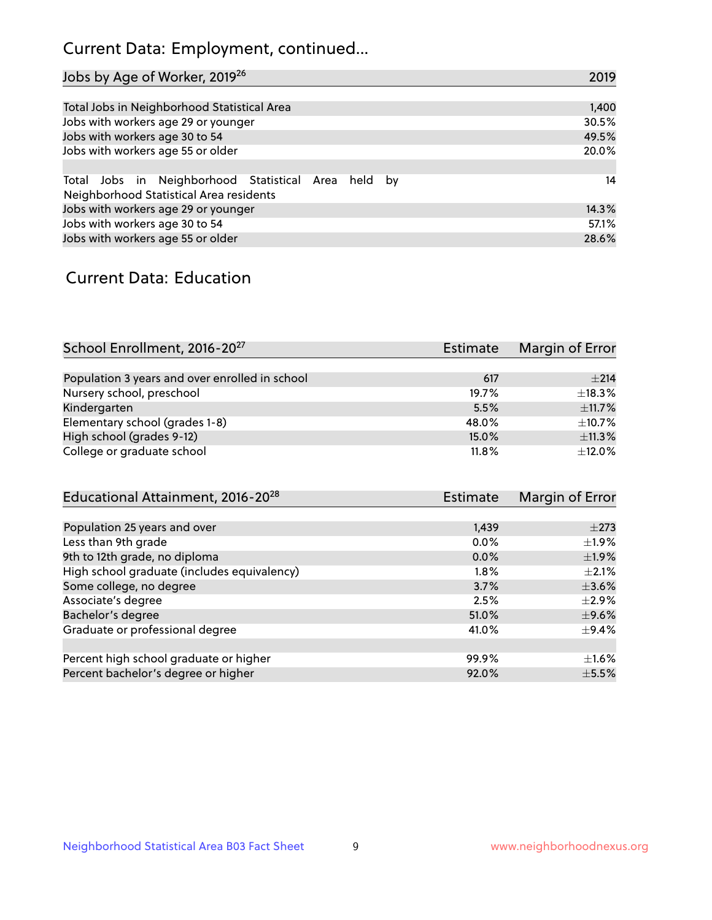## Current Data: Employment, continued...

| Jobs by Age of Worker, 2019 <sup>26</sup>                                                      | 2019  |
|------------------------------------------------------------------------------------------------|-------|
|                                                                                                |       |
| Total Jobs in Neighborhood Statistical Area                                                    | 1,400 |
| Jobs with workers age 29 or younger                                                            | 30.5% |
| Jobs with workers age 30 to 54                                                                 | 49.5% |
| Jobs with workers age 55 or older                                                              | 20.0% |
|                                                                                                |       |
| Total Jobs in Neighborhood Statistical Area held by<br>Neighborhood Statistical Area residents | 14    |
| Jobs with workers age 29 or younger                                                            | 14.3% |
| Jobs with workers age 30 to 54                                                                 | 57.1% |
| Jobs with workers age 55 or older                                                              | 28.6% |

### Current Data: Education

| School Enrollment, 2016-20 <sup>27</sup>       | Estimate | Margin of Error |
|------------------------------------------------|----------|-----------------|
|                                                |          |                 |
| Population 3 years and over enrolled in school | 617      | ±214            |
| Nursery school, preschool                      | 19.7%    | ±18.3%          |
| Kindergarten                                   | 5.5%     | ±11.7%          |
| Elementary school (grades 1-8)                 | 48.0%    | $\pm$ 10.7%     |
| High school (grades 9-12)                      | 15.0%    | ±11.3%          |
| College or graduate school                     | 11.8%    | $\pm$ 12.0%     |

| Educational Attainment, 2016-20 <sup>28</sup> | <b>Estimate</b> | Margin of Error |
|-----------------------------------------------|-----------------|-----------------|
|                                               |                 |                 |
| Population 25 years and over                  | 1,439           | $\pm 273$       |
| Less than 9th grade                           | 0.0%            | $\pm 1.9\%$     |
| 9th to 12th grade, no diploma                 | 0.0%            | $\pm$ 1.9%      |
| High school graduate (includes equivalency)   | $1.8\%$         | $\pm 2.1\%$     |
| Some college, no degree                       | 3.7%            | $\pm$ 3.6%      |
| Associate's degree                            | 2.5%            | $\pm 2.9\%$     |
| Bachelor's degree                             | 51.0%           | $\pm$ 9.6%      |
| Graduate or professional degree               | 41.0%           | $\pm$ 9.4%      |
|                                               |                 |                 |
| Percent high school graduate or higher        | 99.9%           | $\pm 1.6\%$     |
| Percent bachelor's degree or higher           | 92.0%           | $\pm$ 5.5%      |
|                                               |                 |                 |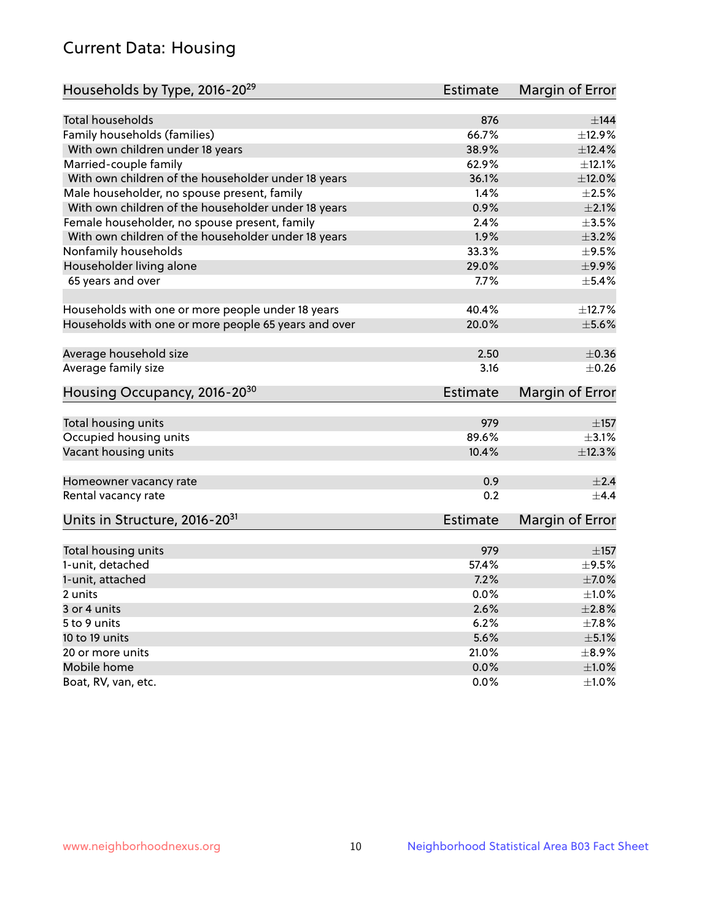## Current Data: Housing

| Households by Type, 2016-20 <sup>29</sup>            | <b>Estimate</b> | Margin of Error |
|------------------------------------------------------|-----------------|-----------------|
|                                                      |                 |                 |
| <b>Total households</b>                              | 876             | ±144            |
| Family households (families)                         | 66.7%           | ±12.9%          |
| With own children under 18 years                     | 38.9%           | ±12.4%          |
| Married-couple family                                | 62.9%           | $\pm$ 12.1%     |
| With own children of the householder under 18 years  | 36.1%           | ±12.0%          |
| Male householder, no spouse present, family          | 1.4%            | $\pm 2.5\%$     |
| With own children of the householder under 18 years  | 0.9%            | $\pm 2.1\%$     |
| Female householder, no spouse present, family        | 2.4%            | $\pm 3.5\%$     |
| With own children of the householder under 18 years  | 1.9%            | $\pm$ 3.2%      |
| Nonfamily households                                 | 33.3%           | $\pm$ 9.5%      |
| Householder living alone                             | 29.0%           | ±9.9%           |
| 65 years and over                                    | 7.7%            | $\pm$ 5.4%      |
|                                                      |                 |                 |
| Households with one or more people under 18 years    | 40.4%           | ±12.7%          |
| Households with one or more people 65 years and over | 20.0%           | $\pm$ 5.6%      |
|                                                      |                 |                 |
| Average household size                               | 2.50            | $\pm$ 0.36      |
| Average family size                                  | 3.16            | $\pm$ 0.26      |
| Housing Occupancy, 2016-20 <sup>30</sup>             | <b>Estimate</b> | Margin of Error |
| Total housing units                                  | 979             | $\pm$ 157       |
| Occupied housing units                               | 89.6%           | $\pm$ 3.1%      |
| Vacant housing units                                 | 10.4%           | ±12.3%          |
|                                                      |                 |                 |
| Homeowner vacancy rate                               | 0.9             | $\pm 2.4$       |
| Rental vacancy rate                                  | 0.2             | $\pm$ 4.4       |
| Units in Structure, 2016-20 <sup>31</sup>            | <b>Estimate</b> | Margin of Error |
|                                                      |                 |                 |
| Total housing units                                  | 979             | $\pm$ 157       |
| 1-unit, detached                                     | 57.4%           | $\pm$ 9.5%      |
| 1-unit, attached                                     | 7.2%            | $\pm$ 7.0%      |
| 2 units                                              | 0.0%            | $\pm 1.0\%$     |
| 3 or 4 units                                         | 2.6%            | ±2.8%           |
| 5 to 9 units                                         | 6.2%            | $\pm$ 7.8%      |
| 10 to 19 units                                       | 5.6%            | $\pm$ 5.1%      |
| 20 or more units                                     | 21.0%           | $\pm$ 8.9%      |
| Mobile home                                          | 0.0%            | $\pm1.0\%$      |
| Boat, RV, van, etc.                                  | $0.0\%$         | $\pm 1.0\%$     |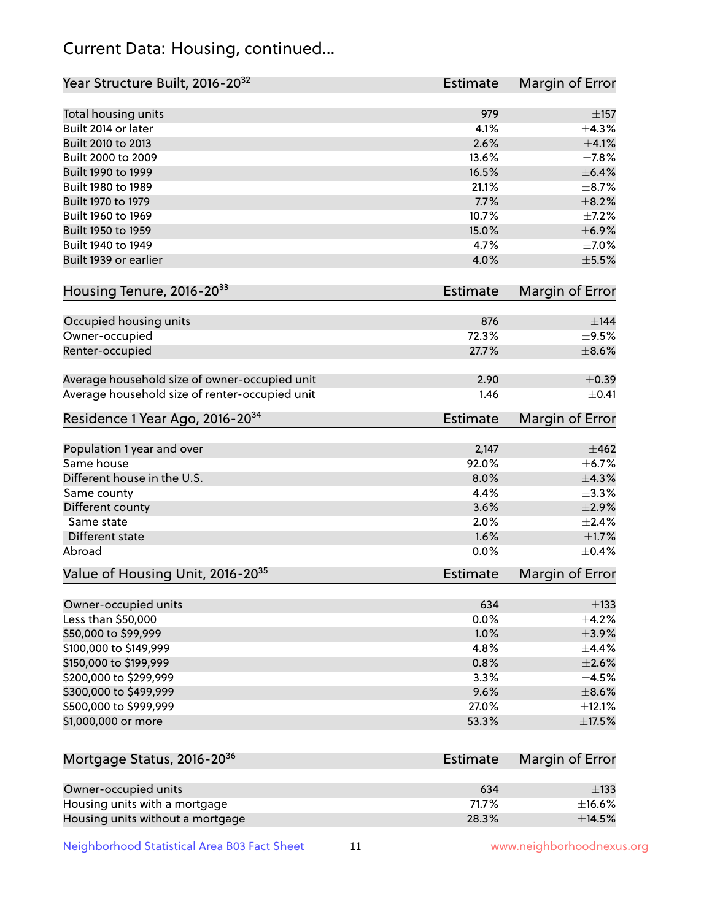## Current Data: Housing, continued...

| Year Structure Built, 2016-20 <sup>32</sup>    | <b>Estimate</b> | Margin of Error |
|------------------------------------------------|-----------------|-----------------|
| Total housing units                            | 979             | $\pm$ 157       |
| Built 2014 or later                            | 4.1%            | ±4.3%           |
| Built 2010 to 2013                             | 2.6%            | $\pm 4.1\%$     |
| Built 2000 to 2009                             | 13.6%           | ±7.8%           |
| Built 1990 to 1999                             | 16.5%           | $\pm$ 6.4%      |
| Built 1980 to 1989                             | 21.1%           | $\pm$ 8.7%      |
| Built 1970 to 1979                             | 7.7%            | $\pm$ 8.2%      |
| Built 1960 to 1969                             | 10.7%           | $\pm$ 7.2%      |
| Built 1950 to 1959                             | 15.0%           | $\pm$ 6.9%      |
| Built 1940 to 1949                             | 4.7%            | $\pm$ 7.0%      |
| Built 1939 or earlier                          | 4.0%            | $\pm$ 5.5%      |
| Housing Tenure, 2016-2033                      | <b>Estimate</b> | Margin of Error |
| Occupied housing units                         | 876             | $\pm$ 144       |
| Owner-occupied                                 | 72.3%           | $\pm$ 9.5%      |
| Renter-occupied                                | 27.7%           | $\pm$ 8.6%      |
| Average household size of owner-occupied unit  | 2.90            | $\pm$ 0.39      |
| Average household size of renter-occupied unit | 1.46            | $+0.41$         |
| Residence 1 Year Ago, 2016-20 <sup>34</sup>    | <b>Estimate</b> | Margin of Error |
| Population 1 year and over                     | 2,147           | $\pm 462$       |
| Same house                                     | 92.0%           | ±6.7%           |
| Different house in the U.S.                    | 8.0%            | ±4.3%           |
| Same county                                    | 4.4%            | $\pm$ 3.3%      |
| Different county                               | 3.6%            | $\pm 2.9\%$     |
| Same state                                     | 2.0%            | $\pm 2.4\%$     |
| Different state                                | 1.6%            | $\pm1.7\%$      |
| Abroad                                         | 0.0%            | $\pm$ 0.4%      |
| Value of Housing Unit, 2016-20 <sup>35</sup>   | <b>Estimate</b> | Margin of Error |
| Owner-occupied units                           | 634             | $\pm$ 133       |
| Less than \$50,000                             | 0.0%            | $\pm$ 4.2%      |
| \$50,000 to \$99,999                           | 1.0%            | ±3.9%           |
| \$100,000 to \$149,999                         | 4.8%            | $\pm$ 4.4%      |
| \$150,000 to \$199,999                         | 0.8%            | $\pm 2.6\%$     |
| \$200,000 to \$299,999                         | 3.3%            | $\pm 4.5\%$     |
| \$300,000 to \$499,999                         | 9.6%            | $\pm$ 8.6%      |
| \$500,000 to \$999,999                         | 27.0%           | $\pm$ 12.1%     |
| \$1,000,000 or more                            | 53.3%           | $\pm$ 17.5%     |
| Mortgage Status, 2016-20 <sup>36</sup>         | <b>Estimate</b> | Margin of Error |
| Owner-occupied units                           | 634             | $\pm$ 133       |
| Housing units with a mortgage                  | 71.7%           | $\pm$ 16.6%     |
| Housing units without a mortgage               | 28.3%           | ±14.5%          |
|                                                |                 |                 |

Neighborhood Statistical Area B03 Fact Sheet 11 11 www.neighborhoodnexus.org

Housing units without a mortgage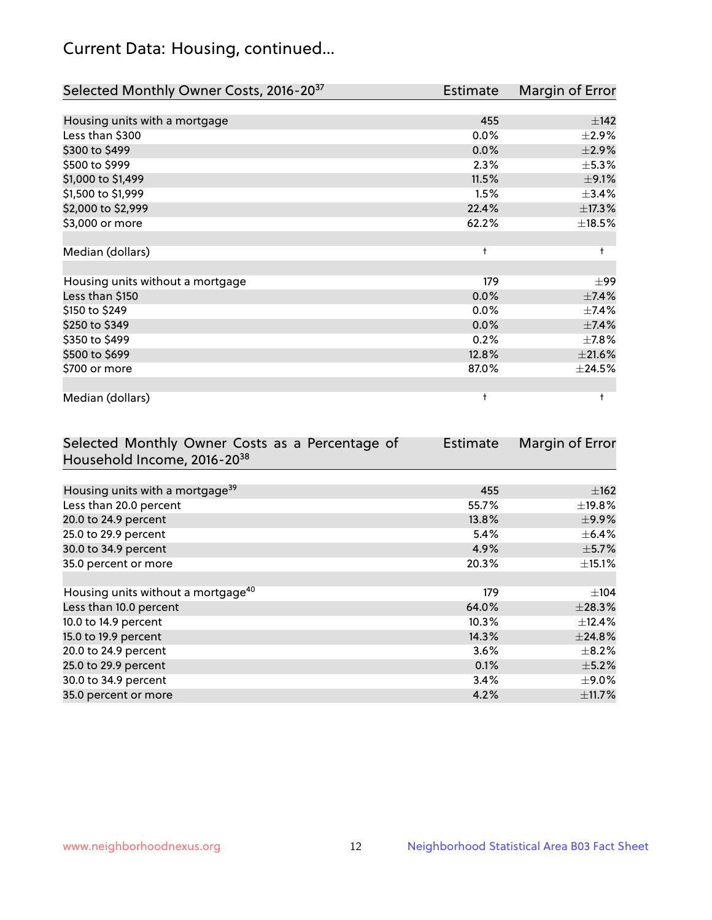## Current Data: Housing, continued...

| Selected Monthly Owner Costs, 2016-20 <sup>37</sup> | Estimate   | Margin of Error |
|-----------------------------------------------------|------------|-----------------|
|                                                     |            |                 |
| Housing units with a mortgage                       | 455        | ±142            |
| Less than \$300                                     | 0.0%       | $\pm 2.9\%$     |
| \$300 to \$499                                      | 0.0%       | $\pm 2.9\%$     |
| \$500 to \$999                                      | 2.3%       | $\pm$ 5.3%      |
| \$1,000 to \$1,499                                  | 11.5%      | $\pm$ 9.1%      |
| \$1,500 to \$1,999                                  | 1.5%       | ±3.4%           |
| \$2,000 to \$2,999                                  | 22.4%      | ±17.3%          |
| \$3,000 or more                                     | 62.2%      | $\pm$ 18.5%     |
|                                                     |            |                 |
| Median (dollars)                                    | $\ddagger$ | $\ddagger$      |
|                                                     |            |                 |
| Housing units without a mortgage                    | 179        | $\pm$ 99        |
| Less than \$150                                     | 0.0%       | ±7.4%           |
| \$150 to \$249                                      | 0.0%       | ±7.4%           |
| \$250 to \$349                                      | 0.0%       | ±7.4%           |
| \$350 to \$499                                      | 0.2%       | $\pm$ 7.8%      |
| \$500 to \$699                                      | 12.8%      | $\pm 21.6\%$    |
| \$700 or more                                       | 87.0%      | ±24.5%          |
|                                                     |            |                 |
| Median (dollars)                                    | $\ddagger$ | $\ddagger$      |

| Selected Monthly Owner Costs as a Percentage of | <b>Estimate</b> | Margin of Error |
|-------------------------------------------------|-----------------|-----------------|
| Household Income, 2016-20 <sup>38</sup>         |                 |                 |
|                                                 |                 |                 |
| Housing units with a mortgage <sup>39</sup>     | 455             | $\pm$ 162       |
| Less than 20.0 percent                          | 55.7%           | $\pm$ 19.8%     |
| 20.0 to 24.9 percent                            | 13.8%           | $\pm$ 9.9%      |
| 25.0 to 29.9 percent                            | 5.4%            | $\pm$ 6.4%      |
| 30.0 to 34.9 percent                            | 4.9%            | $\pm$ 5.7%      |
| 35.0 percent or more                            | 20.3%           | $\pm$ 15.1%     |
|                                                 |                 |                 |
| Housing units without a mortgage <sup>40</sup>  | 179             | $\pm 104$       |
| Less than 10.0 percent                          | 64.0%           | ±28.3%          |
| 10.0 to 14.9 percent                            | 10.3%           | $\pm$ 12.4%     |
| 15.0 to 19.9 percent                            | 14.3%           | ±24.8%          |
| 20.0 to 24.9 percent                            | 3.6%            | $\pm$ 8.2%      |
| 25.0 to 29.9 percent                            | 0.1%            | $\pm$ 5.2%      |
| 30.0 to 34.9 percent                            | 3.4%            | $\pm$ 9.0%      |
| 35.0 percent or more                            | 4.2%            | ±11.7%          |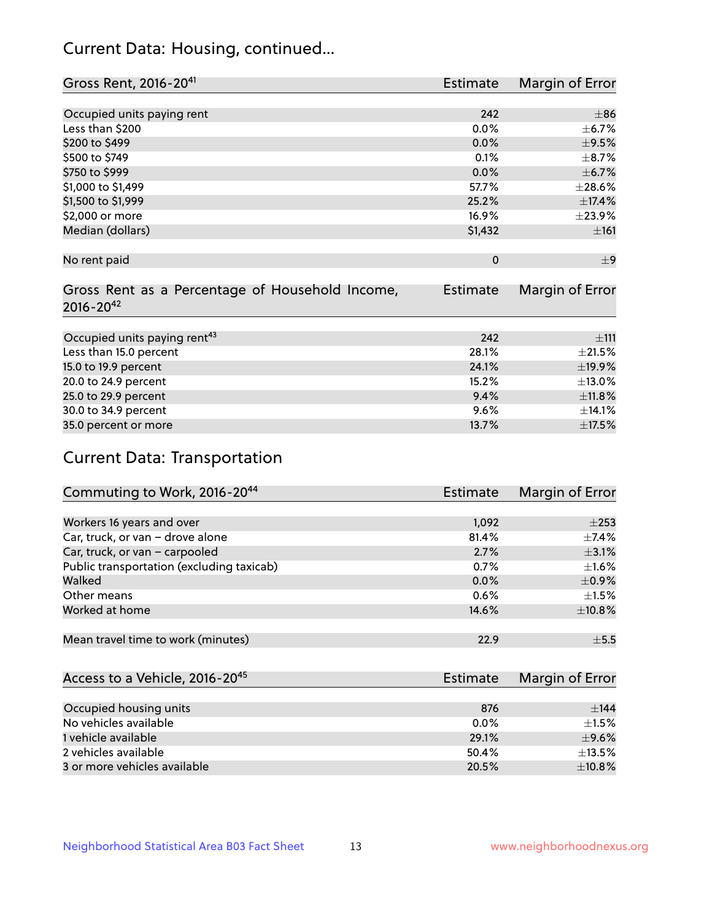## Current Data: Housing, continued...

| Gross Rent, 2016-20 <sup>41</sup>               | <b>Estimate</b> | Margin of Error |
|-------------------------------------------------|-----------------|-----------------|
|                                                 |                 |                 |
| Occupied units paying rent                      | 242             | $+86$           |
| Less than \$200                                 | 0.0%            | $\pm$ 6.7%      |
| \$200 to \$499                                  | 0.0%            | $\pm$ 9.5%      |
| \$500 to \$749                                  | 0.1%            | $\pm$ 8.7%      |
| \$750 to \$999                                  | 0.0%            | $\pm$ 6.7%      |
| \$1,000 to \$1,499                              | 57.7%           | ±28.6%          |
| \$1,500 to \$1,999                              | 25.2%           | ±17.4%          |
| \$2,000 or more                                 | 16.9%           | ±23.9%          |
| Median (dollars)                                | \$1,432         | ±161            |
|                                                 |                 |                 |
| No rent paid                                    | $\mathbf 0$     | $\pm$ 9         |
|                                                 |                 |                 |
| Gross Rent as a Percentage of Household Income, | <b>Estimate</b> | Margin of Error |
| $2016 - 20^{42}$                                |                 |                 |
|                                                 |                 |                 |
| Occupied units paying rent <sup>43</sup>        | 242             | ±111            |
| Less than 15.0 percent                          | 28.1%           | $\pm 21.5\%$    |
| 15.0 to 19.9 percent                            | 24.1%           | ±19.9%          |
| 20.0 to 24.9 percent                            | 15.2%           | ±13.0%          |
| 25.0 to 29.9 percent                            | 9.4%            | $\pm$ 11.8%     |
| 30.0 to 34.9 percent                            | 9.6%            | ±14.1%          |
| 35.0 percent or more                            | 13.7%           | ±17.5%          |

# Current Data: Transportation

| Commuting to Work, 2016-20 <sup>44</sup>  | <b>Estimate</b> | Margin of Error |
|-------------------------------------------|-----------------|-----------------|
|                                           |                 |                 |
| Workers 16 years and over                 | 1,092           | $\pm 253$       |
| Car, truck, or van - drove alone          | 81.4%           | $\pm$ 7.4%      |
| Car, truck, or van - carpooled            | 2.7%            | $\pm$ 3.1%      |
| Public transportation (excluding taxicab) | $0.7\%$         | $\pm 1.6\%$     |
| Walked                                    | $0.0\%$         | $\pm$ 0.9%      |
| Other means                               | 0.6%            | $\pm 1.5\%$     |
| Worked at home                            | 14.6%           | ±10.8%          |
|                                           |                 |                 |
| Mean travel time to work (minutes)        | 22.9            | $\pm$ 5.5       |

| Access to a Vehicle, 2016-20 <sup>45</sup> | <b>Estimate</b> | Margin of Error |
|--------------------------------------------|-----------------|-----------------|
|                                            |                 |                 |
| Occupied housing units                     | 876             | ±144            |
| No vehicles available                      | $0.0\%$         | $+1.5%$         |
| 1 vehicle available                        | 29.1%           | $\pm$ 9.6%      |
| 2 vehicles available                       | 50.4%           | $\pm$ 13.5%     |
| 3 or more vehicles available               | 20.5%           | $+10.8%$        |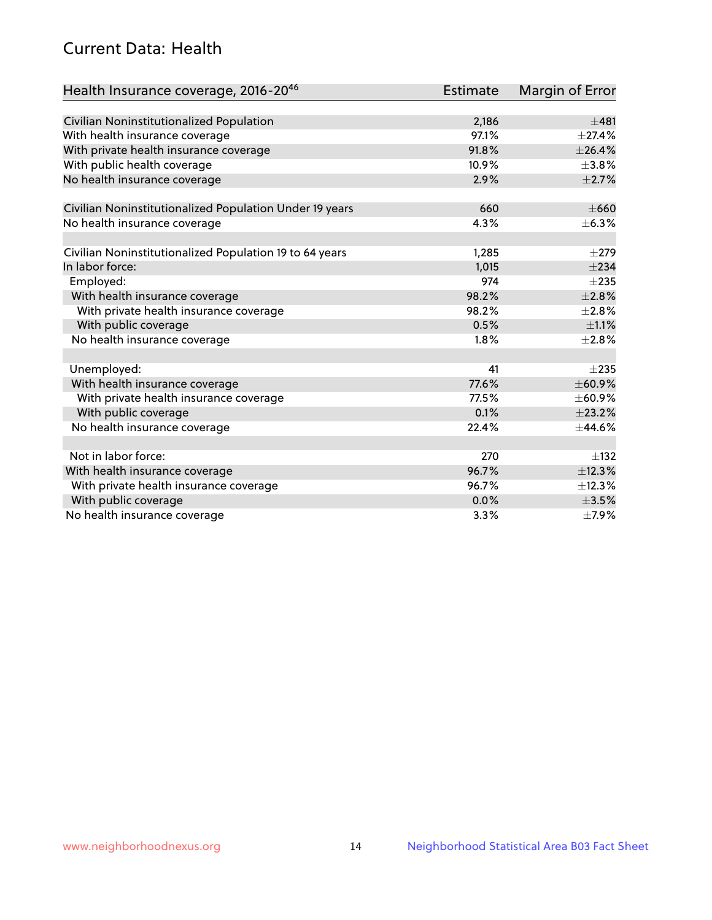## Current Data: Health

| Health Insurance coverage, 2016-2046                    | Estimate | Margin of Error |
|---------------------------------------------------------|----------|-----------------|
|                                                         |          |                 |
| Civilian Noninstitutionalized Population                | 2,186    | ±481            |
| With health insurance coverage                          | 97.1%    | $\pm$ 27.4%     |
| With private health insurance coverage                  | 91.8%    | ±26.4%          |
| With public health coverage                             | 10.9%    | $\pm$ 3.8%      |
| No health insurance coverage                            | 2.9%     | $\pm 2.7\%$     |
| Civilian Noninstitutionalized Population Under 19 years | 660      | $\pm 660$       |
| No health insurance coverage                            | 4.3%     | $\pm$ 6.3%      |
|                                                         |          |                 |
| Civilian Noninstitutionalized Population 19 to 64 years | 1,285    | $\pm 279$       |
| In labor force:                                         | 1,015    | $\pm 234$       |
| Employed:                                               | 974      | $\pm 235$       |
| With health insurance coverage                          | 98.2%    | $\pm 2.8\%$     |
| With private health insurance coverage                  | 98.2%    | $\pm 2.8\%$     |
| With public coverage                                    | 0.5%     | $\pm 1.1\%$     |
| No health insurance coverage                            | 1.8%     | ±2.8%           |
|                                                         |          |                 |
| Unemployed:                                             | 41       | $\pm 235$       |
| With health insurance coverage                          | 77.6%    | ±60.9%          |
| With private health insurance coverage                  | 77.5%    | ±60.9%          |
| With public coverage                                    | 0.1%     | ±23.2%          |
| No health insurance coverage                            | 22.4%    | $\pm$ 44.6%     |
|                                                         |          |                 |
| Not in labor force:                                     | 270      | $\pm$ 132       |
| With health insurance coverage                          | 96.7%    | ±12.3%          |
| With private health insurance coverage                  | 96.7%    | ±12.3%          |
| With public coverage                                    | 0.0%     | $\pm$ 3.5%      |
| No health insurance coverage                            | 3.3%     | $\pm$ 7.9%      |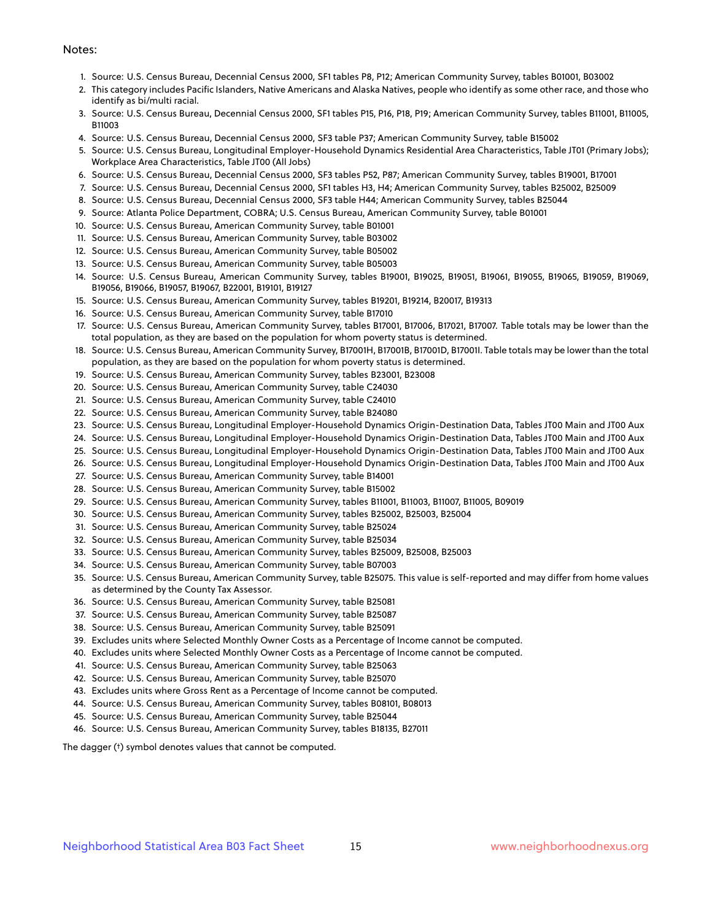#### Notes:

- 1. Source: U.S. Census Bureau, Decennial Census 2000, SF1 tables P8, P12; American Community Survey, tables B01001, B03002
- 2. This category includes Pacific Islanders, Native Americans and Alaska Natives, people who identify as some other race, and those who identify as bi/multi racial.
- 3. Source: U.S. Census Bureau, Decennial Census 2000, SF1 tables P15, P16, P18, P19; American Community Survey, tables B11001, B11005, B11003
- 4. Source: U.S. Census Bureau, Decennial Census 2000, SF3 table P37; American Community Survey, table B15002
- 5. Source: U.S. Census Bureau, Longitudinal Employer-Household Dynamics Residential Area Characteristics, Table JT01 (Primary Jobs); Workplace Area Characteristics, Table JT00 (All Jobs)
- 6. Source: U.S. Census Bureau, Decennial Census 2000, SF3 tables P52, P87; American Community Survey, tables B19001, B17001
- 7. Source: U.S. Census Bureau, Decennial Census 2000, SF1 tables H3, H4; American Community Survey, tables B25002, B25009
- 8. Source: U.S. Census Bureau, Decennial Census 2000, SF3 table H44; American Community Survey, tables B25044
- 9. Source: Atlanta Police Department, COBRA; U.S. Census Bureau, American Community Survey, table B01001
- 10. Source: U.S. Census Bureau, American Community Survey, table B01001
- 11. Source: U.S. Census Bureau, American Community Survey, table B03002
- 12. Source: U.S. Census Bureau, American Community Survey, table B05002
- 13. Source: U.S. Census Bureau, American Community Survey, table B05003
- 14. Source: U.S. Census Bureau, American Community Survey, tables B19001, B19025, B19051, B19061, B19055, B19065, B19059, B19069, B19056, B19066, B19057, B19067, B22001, B19101, B19127
- 15. Source: U.S. Census Bureau, American Community Survey, tables B19201, B19214, B20017, B19313
- 16. Source: U.S. Census Bureau, American Community Survey, table B17010
- 17. Source: U.S. Census Bureau, American Community Survey, tables B17001, B17006, B17021, B17007. Table totals may be lower than the total population, as they are based on the population for whom poverty status is determined.
- 18. Source: U.S. Census Bureau, American Community Survey, B17001H, B17001B, B17001D, B17001I. Table totals may be lower than the total population, as they are based on the population for whom poverty status is determined.
- 19. Source: U.S. Census Bureau, American Community Survey, tables B23001, B23008
- 20. Source: U.S. Census Bureau, American Community Survey, table C24030
- 21. Source: U.S. Census Bureau, American Community Survey, table C24010
- 22. Source: U.S. Census Bureau, American Community Survey, table B24080
- 23. Source: U.S. Census Bureau, Longitudinal Employer-Household Dynamics Origin-Destination Data, Tables JT00 Main and JT00 Aux
- 24. Source: U.S. Census Bureau, Longitudinal Employer-Household Dynamics Origin-Destination Data, Tables JT00 Main and JT00 Aux
- 25. Source: U.S. Census Bureau, Longitudinal Employer-Household Dynamics Origin-Destination Data, Tables JT00 Main and JT00 Aux
- 26. Source: U.S. Census Bureau, Longitudinal Employer-Household Dynamics Origin-Destination Data, Tables JT00 Main and JT00 Aux
- 27. Source: U.S. Census Bureau, American Community Survey, table B14001
- 28. Source: U.S. Census Bureau, American Community Survey, table B15002
- 29. Source: U.S. Census Bureau, American Community Survey, tables B11001, B11003, B11007, B11005, B09019
- 30. Source: U.S. Census Bureau, American Community Survey, tables B25002, B25003, B25004
- 31. Source: U.S. Census Bureau, American Community Survey, table B25024
- 32. Source: U.S. Census Bureau, American Community Survey, table B25034
- 33. Source: U.S. Census Bureau, American Community Survey, tables B25009, B25008, B25003
- 34. Source: U.S. Census Bureau, American Community Survey, table B07003
- 35. Source: U.S. Census Bureau, American Community Survey, table B25075. This value is self-reported and may differ from home values as determined by the County Tax Assessor.
- 36. Source: U.S. Census Bureau, American Community Survey, table B25081
- 37. Source: U.S. Census Bureau, American Community Survey, table B25087
- 38. Source: U.S. Census Bureau, American Community Survey, table B25091
- 39. Excludes units where Selected Monthly Owner Costs as a Percentage of Income cannot be computed.
- 40. Excludes units where Selected Monthly Owner Costs as a Percentage of Income cannot be computed.
- 41. Source: U.S. Census Bureau, American Community Survey, table B25063
- 42. Source: U.S. Census Bureau, American Community Survey, table B25070
- 43. Excludes units where Gross Rent as a Percentage of Income cannot be computed.
- 44. Source: U.S. Census Bureau, American Community Survey, tables B08101, B08013
- 45. Source: U.S. Census Bureau, American Community Survey, table B25044
- 46. Source: U.S. Census Bureau, American Community Survey, tables B18135, B27011

The dagger (†) symbol denotes values that cannot be computed.